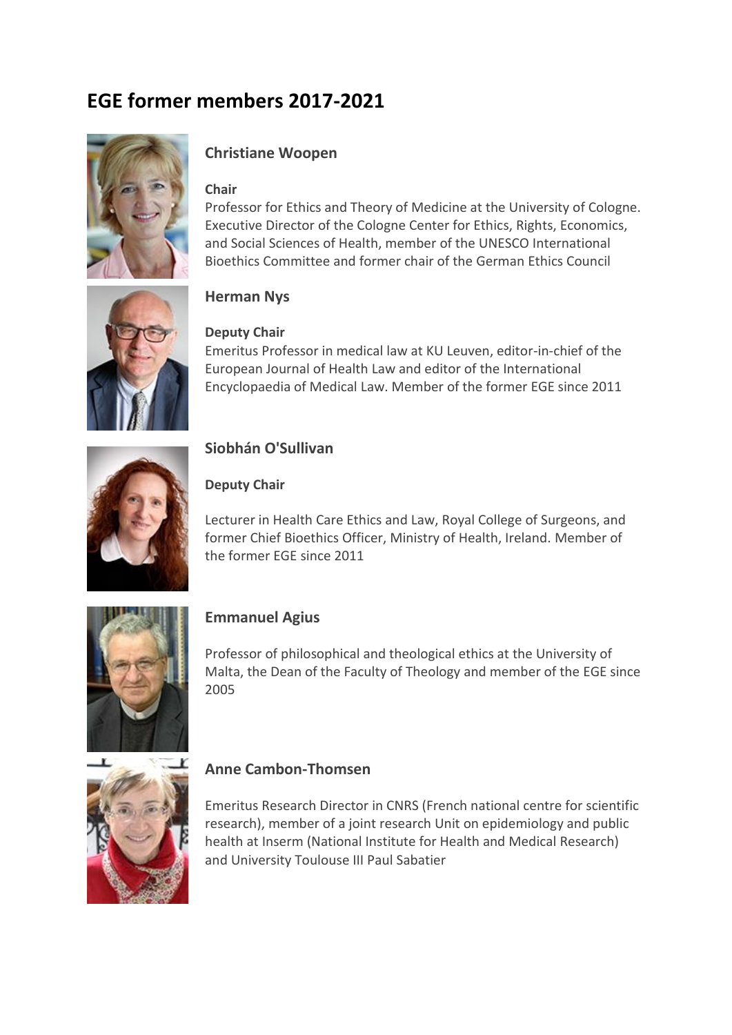# **EGE former members 2017-2021**



## **Christiane Woopen**

#### **Chair**

Professor for Ethics and Theory of Medicine at the University of Cologne. Executive Director of the Cologne Center for Ethics, Rights, Economics, and Social Sciences of Health, member of the UNESCO International Bioethics Committee and former chair of the German Ethics Council



## **Herman Nys**

#### **Deputy Chair**

Emeritus Professor in medical law at KU Leuven, editor-in-chief of the European Journal of Health Law and editor of the International Encyclopaedia of Medical Law. Member of the former EGE since 2011



## **Siobhán O'Sullivan**

#### **Deputy Chair**

Lecturer in Health Care Ethics and Law, Royal College of Surgeons, and former Chief Bioethics Officer, Ministry of Health, Ireland. Member of the former EGE since 2011



## **Emmanuel Agius**

Professor of philosophical and theological ethics at the University of Malta, the Dean of the Faculty of Theology and member of the EGE since 2005



## **Anne Cambon-Thomsen**

Emeritus Research Director in CNRS (French national centre for scientific research), member of a joint research Unit on epidemiology and public health at Inserm (National Institute for Health and Medical Research) and University Toulouse III Paul Sabatier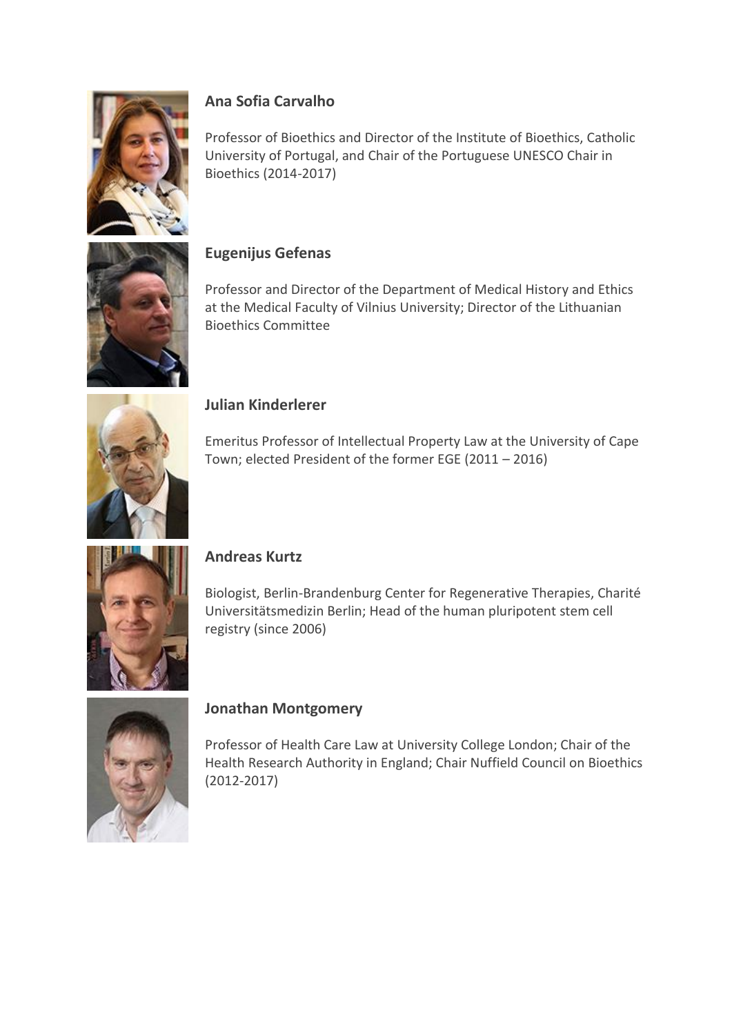

# **Ana Sofia Carvalho**

Professor of Bioethics and Director of the Institute of Bioethics, Catholic University of Portugal, and Chair of the Portuguese UNESCO Chair in Bioethics (2014-2017)

## **Eugenijus Gefenas**

Professor and Director of the Department of Medical History and Ethics at the Medical Faculty of Vilnius University; Director of the Lithuanian Bioethics Committee



#### **Julian Kinderlerer**

Emeritus Professor of Intellectual Property Law at the University of Cape Town; elected President of the former EGE (2011 – 2016)



### **Andreas Kurtz**

Biologist, Berlin-Brandenburg Center for Regenerative Therapies, Charité Universitätsmedizin Berlin; Head of the human pluripotent stem cell registry (since 2006)



### **Jonathan Montgomery**

Professor of Health Care Law at University College London; Chair of the Health Research Authority in England; Chair Nuffield Council on Bioethics (2012-2017)